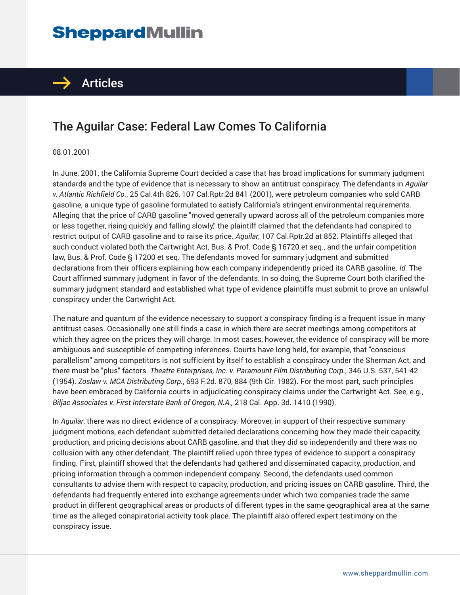## **SheppardMullin**



## The Aguilar Case: Federal Law Comes To California

## 08.01.2001

In June, 2001, the California Supreme Court decided a case that has broad implications for summary judgment standards and the type of evidence that is necessary to show an antitrust conspiracy. The defendants in *Aguilar v. Atlantic Richfield Co.*, 25 Cal.4th 826, 107 Cal.Rptr.2d 841 (2001), were petroleum companies who sold CARB gasoline, a unique type of gasoline formulated to satisfy California's stringent environmental requirements. Alleging that the price of CARB gasoline "moved generally upward across all of the petroleum companies more or less together, rising quickly and falling slowly," the plaintiff claimed that the defendants had conspired to restrict output of CARB gasoline and to raise its price. *Aguilar*, 107 Cal.Rptr.2d at 852. Plaintiffs alleged that such conduct violated both the Cartwright Act, Bus. & Prof. Code § 16720 et seq., and the unfair competition law, Bus. & Prof. Code § 17200 et seq. The defendants moved for summary judgment and submitted declarations from their officers explaining how each company independently priced its CARB gasoline. *Id.* The Court affirmed summary judgment in favor of the defendants. In so doing, the Supreme Court both clarified the summary judgment standard and established what type of evidence plaintiffs must submit to prove an unlawful conspiracy under the Cartwright Act.

The nature and quantum of the evidence necessary to support a conspiracy finding is a frequent issue in many antitrust cases. Occasionally one still finds a case in which there are secret meetings among competitors at which they agree on the prices they will charge. In most cases, however, the evidence of conspiracy will be more ambiguous and susceptible of competing inferences. Courts have long held, for example, that "conscious parallelism" among competitors is not sufficient by itself to establish a conspiracy under the Sherman Act, and there must be "plus" factors. *Theatre Enterprises, Inc. v. Paramount Film Distributing Corp.*, 346 U.S. 537, 541-42 (1954). *Zoslaw v. MCA Distributing Corp.*, 693 F.2d. 870, 884 (9th Cir. 1982). For the most part, such principles have been embraced by California courts in adjudicating conspiracy claims under the Cartwright Act. See, e.g., *Biljac Associates v. First Interstate Bank of Oregon, N.A.,* 218 Cal. App. 3d. 1410 (1990).

In *Aguilar*, there was no direct evidence of a conspiracy. Moreover, in support of their respective summary judgment motions, each defendant submitted detailed declarations concerning how they made their capacity, production, and pricing decisions about CARB gasoline, and that they did so independently and there was no collusion with any other defendant. The plaintiff relied upon three types of evidence to support a conspiracy finding. First, plaintiff showed that the defendants had gathered and disseminated capacity, production, and pricing information through a common independent company. Second, the defendants used common consultants to advise them with respect to capacity, production, and pricing issues on CARB gasoline. Third, the defendants had frequently entered into exchange agreements under which two companies trade the same product in different geographical areas or products of different types in the same geographical area at the same time as the alleged conspiratorial activity took place. The plaintiff also offered expert testimony on the conspiracy issue.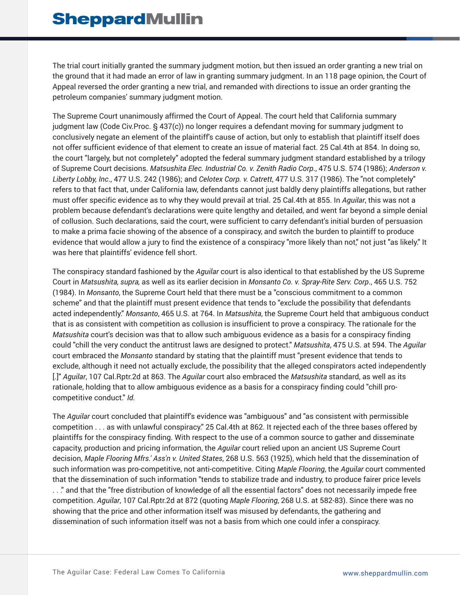The trial court initially granted the summary judgment motion, but then issued an order granting a new trial on the ground that it had made an error of law in granting summary judgment. In an 118 page opinion, the Court of Appeal reversed the order granting a new trial, and remanded with directions to issue an order granting the petroleum companies' summary judgment motion.

The Supreme Court unanimously affirmed the Court of Appeal. The court held that California summary judgment law (Code Civ.Proc. § 437(c)) no longer requires a defendant moving for summary judgment to conclusively negate an element of the plaintiff's cause of action, but only to establish that plaintiff itself does not offer sufficient evidence of that element to create an issue of material fact. 25 Cal.4th at 854. In doing so, the court "largely, but not completely" adopted the federal summary judgment standard established by a trilogy of Supreme Court decisions. *Matsushita Elec. Industrial Co. v. Zenith Radio Corp*., 475 U.S. 574 (1986); *Anderson v. Liberty Lobby, Inc*., 477 U.S. 242 (1986); and *Celotex Corp. v. Catrett*, 477 U.S. 317 (1986). The "not completely" refers to that fact that, under California law, defendants cannot just baldly deny plaintiffs allegations, but rather must offer specific evidence as to why they would prevail at trial. 25 Cal.4th at 855. In *Aguilar*, this was not a problem because defendant's declarations were quite lengthy and detailed, and went far beyond a simple denial of collusion. Such declarations, said the court, were sufficient to carry defendant's initial burden of persuasion to make a prima facie showing of the absence of a conspiracy, and switch the burden to plaintiff to produce evidence that would allow a jury to find the existence of a conspiracy "more likely than not," not just "as likely." It was here that plaintiffs' evidence fell short.

The conspiracy standard fashioned by the *Aguilar* court is also identical to that established by the US Supreme Court in *Matsushita, supra,* as well as its earlier decision in *Monsanto Co. v. Spray-Rite Serv. Corp*., 465 U.S. 752 (1984). In *Monsanto*, the Supreme Court held that there must be a "conscious commitment to a common scheme" and that the plaintiff must present evidence that tends to "exclude the possibility that defendants acted independently." *Monsanto*, 465 U.S. at 764. In *Matsushita*, the Supreme Court held that ambiguous conduct that is as consistent with competition as collusion is insufficient to prove a conspiracy. The rationale for the *Matsushita* court's decision was that to allow such ambiguous evidence as a basis for a conspiracy finding could "chill the very conduct the antitrust laws are designed to protect." *Matsushita*, 475 U.S. at 594. The *Aguilar* court embraced the *Monsanto* standard by stating that the plaintiff must "present evidence that tends to exclude, although it need not actually exclude, the possibility that the alleged conspirators acted independently [.]" *Aguilar*, 107 Cal.Rptr.2d at 863. The *Aguilar* court also embraced the *Matsushita* standard, as well as its rationale, holding that to allow ambiguous evidence as a basis for a conspiracy finding could "chill procompetitive conduct." *Id.*

The *Aguilar* court concluded that plaintiff's evidence was "ambiguous" and "as consistent with permissible competition . . . as with unlawful conspiracy." 25 Cal.4th at 862. It rejected each of the three bases offered by plaintiffs for the conspiracy finding. With respect to the use of a common source to gather and disseminate capacity, production and pricing information, the *Aguilar* court relied upon an ancient US Supreme Court decision, *Maple Flooring Mfrs.' Ass'n v. United States*, 268 U.S. 563 (1925), which held that the dissemination of such information was pro-competitive, not anti-competitive. Citing *Maple Flooring*, the *Aguilar* court commented that the dissemination of such information "tends to stabilize trade and industry, to produce fairer price levels . . ." and that the "free distribution of knowledge of all the essential factors" does not necessarily impede free competition. *Aguilar*, 107 Cal.Rptr.2d at 872 (quoting *Maple Flooring*, 268 U.S. at 582-83). Since there was no showing that the price and other information itself was misused by defendants, the gathering and dissemination of such information itself was not a basis from which one could infer a conspiracy.